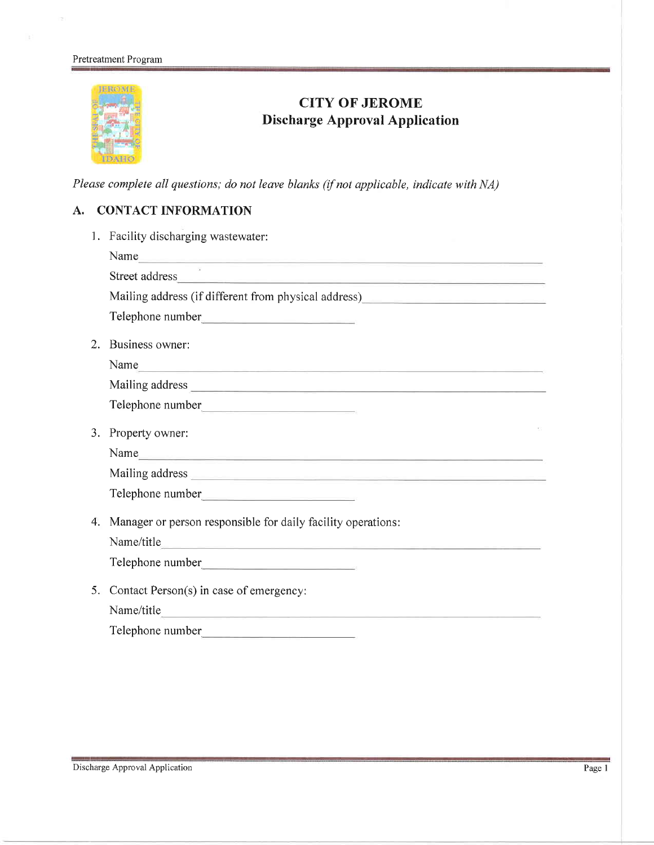#### Pretreatment Program



# CITY OF JEROME Discharge Approval Application

Please complete all questions; do not leave blanks (if not applicable, indicate with NA)

## A. CONTACT INFORMATION

| 1. | Facility discharging wastewater:                                                                                                                                                                                               |  |  |
|----|--------------------------------------------------------------------------------------------------------------------------------------------------------------------------------------------------------------------------------|--|--|
|    | Name<br><u> 1980 - Andrea Stadt Germany, amerikansk politiker (d. 1980)</u>                                                                                                                                                    |  |  |
|    | Street address and the company of the company of the company of the company of the company of the company of the company of the company of the company of the company of the company of the company of the company of the comp |  |  |
|    | Mailing address (if different from physical address)____________________________                                                                                                                                               |  |  |
|    |                                                                                                                                                                                                                                |  |  |
| 2. | Business owner:                                                                                                                                                                                                                |  |  |
|    | Name                                                                                                                                                                                                                           |  |  |
|    |                                                                                                                                                                                                                                |  |  |
|    |                                                                                                                                                                                                                                |  |  |
| 3. | Property owner:                                                                                                                                                                                                                |  |  |
|    | Name and the second contract of the second contract of the second contract of the second contract of the second contract of the second contract of the second contract of the second contract of the second contract of the se |  |  |
|    |                                                                                                                                                                                                                                |  |  |
|    |                                                                                                                                                                                                                                |  |  |
| 4. | Manager or person responsible for daily facility operations:                                                                                                                                                                   |  |  |
|    | Name/title                                                                                                                                                                                                                     |  |  |
|    |                                                                                                                                                                                                                                |  |  |
| 5. | Contact Person(s) in case of emergency:                                                                                                                                                                                        |  |  |
|    | Name/title                                                                                                                                                                                                                     |  |  |
|    |                                                                                                                                                                                                                                |  |  |
|    |                                                                                                                                                                                                                                |  |  |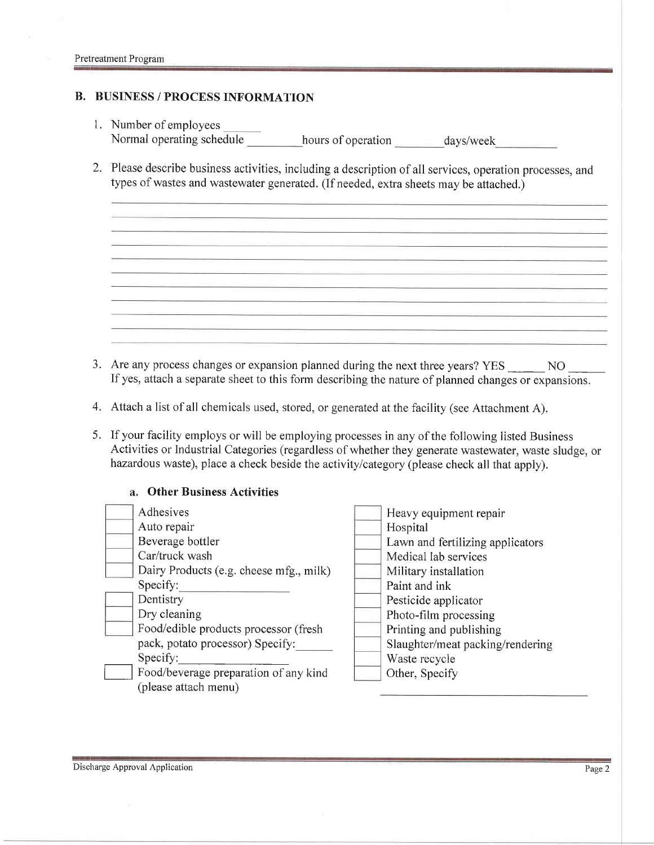#### **B. BUSINESS / PROCESS INFORMATION**

- l. Number of employees Normal operating schedule hours of operation days/week
- 2. Please describe business activities, including a description of all services, operation processes, and types of wastes and wastewater generated. (If needed, extra sheets may be attached.)

- 3. Are any process changes or expansion planned during the next three years? YES NO If yes, attach a separate sheet to this form describing the nature of planned changes or expansions.
- 4. Attach a list of all chemicals used, stored, or generated at the facility (see Attachment A).
- 5. If your facility employs or will be employing processes in any of the following listed Business Activities or Industrial Categories (regardless of whether they generate wastewater, waste sludge, or hazardous waste), place a check beside the activity/category (please check all that apply).

#### Specify:\_ Food/beverage preparation of any kind (please attach menu) Other Business Activities Adhesives Auto repair Beverage bottler Car/truck wash Dairy Products (e.g. cheese mfg., milk) Specify: Dentistry Dry cleaning Food/edible products processor (fresh pack, potato processor) Specify: Heavy equipment repair Hospital Lawn and fetilizing applicators Medical lab services Military installation Paint and ink Pesticide applicator Photo-film processing Printing and publishing Slaughter/meat packing/rendering Waste recycle Other, Specify

Discharge Approval Application Page 2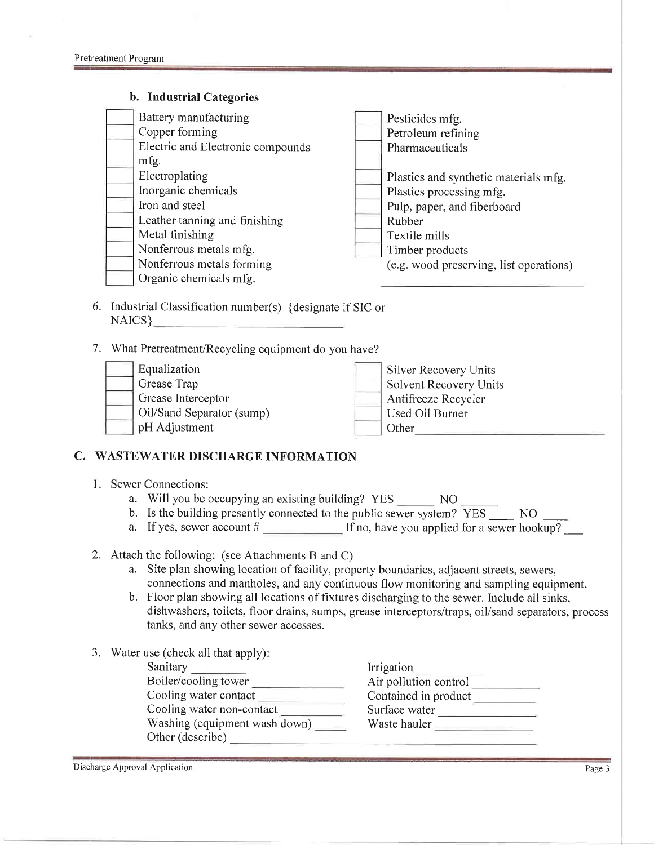#### b. Industrial Categories

| Battery manufacturing             | Pesticides mfg.                         |
|-----------------------------------|-----------------------------------------|
| Copper forming                    | Petroleum refining                      |
| Electric and Electronic compounds | Pharmaceuticals                         |
| mfg.                              |                                         |
| Electroplating                    | Plastics and synthetic materials mfg.   |
| Inorganic chemicals               | Plastics processing mfg.                |
| Iron and steel                    | Pulp, paper, and fiberboard             |
| Leather tanning and finishing     | Rubber                                  |
| Metal finishing                   | Textile mills                           |
| Nonferrous metals mfg.            | Timber products                         |
| Nonferrous metals forming         | (e.g. wood preserving, list operations) |
| Organic chemicals mfg.            |                                         |

- 6. Industrial Classification number(s) {designate if SIC or NAICS}
- 7. What Pretreatment/Recycling equipment do you have?

| Equalization              | Silver Recovery Units  |
|---------------------------|------------------------|
| Grease Trap               | Solvent Recovery Units |
| Grease Interceptor        | Antifreeze Recycler    |
| Oil/Sand Separator (sump) | Used Oil Burner        |
| pH Adjustment             | Other                  |

## C. WASTEWATER DISCHARGE INFORMATION

- l. Sewer Connections:
	- a. Will you be occupying an existing building? YES \_\_\_\_\_\_ NO
	- b. Is the building presently connected to the public sewer system?  $\overline{YES}$  NO
	- a. If yes, sewer account  $\#$  If no, have you applied for a sewer hookup?
- 2. Attach the following: (see Attachments B and C)
	- a. Site plan showing location of facility, property boundaries, adjacent streets, sewers, connections and manholes, and any continuous flow monitoring and sampling equipment.
	- b. Floor plan showing all locations of fixtures discharging to the sewer. Include all sinks, dishwashers, toilets, floor drains, sumps, grease interceptors/traps, oil/sand separators, process tanks, and any other sewer accesses.
- 3. Water use (check all that apply):

Cooling water non-contact Washing (equipment wash down) \_\_\_\_\_\_\_\_\_ Waste hauler Sanitary Boiler/cooling tower Cooling water contact Other (describe)

Irrigation Air pollution control Contained in product Surface water<br>Waste hauler

Discharge Approval Application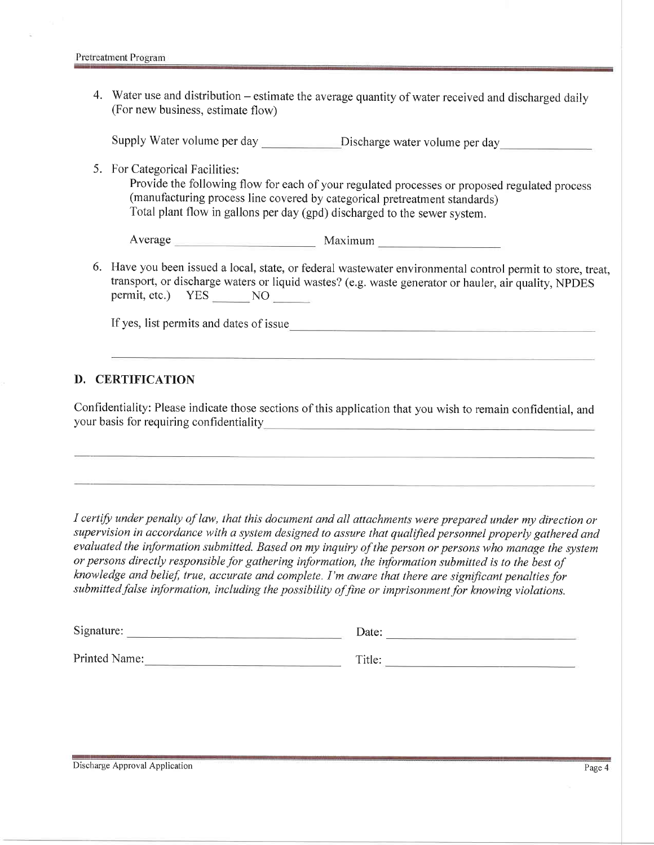4. Water use and distribution – estimate the average quantity of water received and discharged daily (For new business, estimate flow)

Supply Water volume per day Discharge water volume per day

5. For Categorical Facilities:

Provide the following flow for each of your regulated processes or proposed regulated process (manufacturing process line covered by categorical pretreatment standards) Total plant flow in gallons per day (gpd) discharged to the sewer system.

Average Maximum Maximum

6. Have you been issued a local, state, or federal wastewater environmental control permit to store, treat, transport, or discharge waters or liquid wastes? (e.g. waste generator or hauler, air quality, NPDES permit, etc.) YES NO NO

If yes, list permits and dates of issue

#### D. CERTIFICATION

Confidentiality: Please indicate those sections of this application that you wish to remain confidential, and your basis for requiring confidentiality

I certify under penalty of law, that this document and all attachments were prepared under my direction or supervision in accordance with a system designed to assure that qualified personnel properly gathered and evaluated the information submitted. Based on my inquiry of the person or persons who manage the system or persons directly responsible for gathering information, the information submitted is to the best of knowledge and belief, true, accurate and complete. I'm aware that there are significant penalties for submitted false information, including the possibility of fine or imprisonment for knowing violations.

| Signature:    | Jate: |  |
|---------------|-------|--|
| __<br>_______ |       |  |

Printed Name: Title: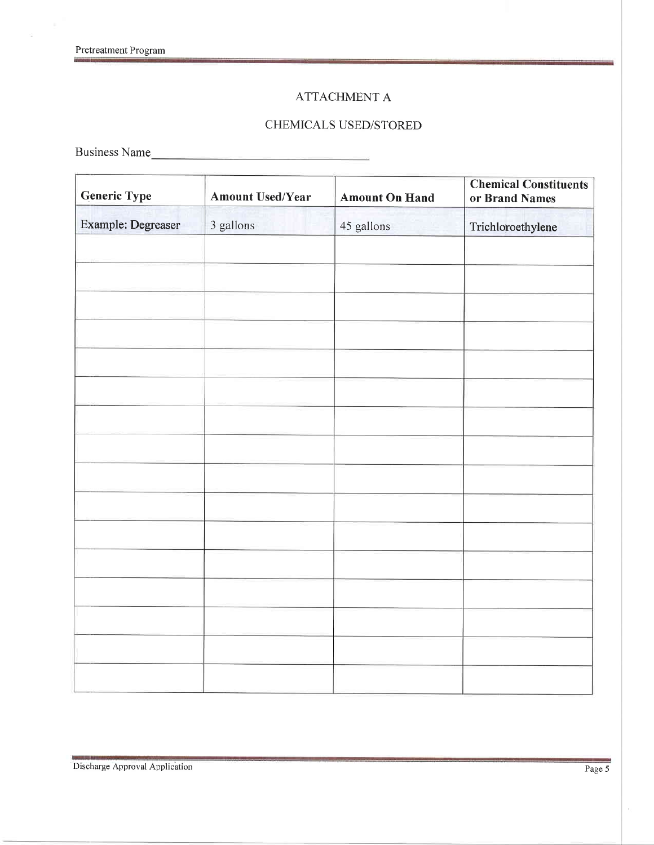$\sim$ 

## ATTACHMENT A

## CHEMICALS USED/STORED

Business Name

| <b>Generic Type</b>       | <b>Amount Used/Year</b> | <b>Amount On Hand</b> | <b>Chemical Constituents</b><br>or Brand Names |  |
|---------------------------|-------------------------|-----------------------|------------------------------------------------|--|
| <b>Example: Degreaser</b> | 3 gallons               | 45 gallons            | Trichloroethylene                              |  |
|                           |                         |                       |                                                |  |
|                           |                         |                       |                                                |  |
|                           |                         |                       |                                                |  |
|                           |                         |                       |                                                |  |
|                           |                         |                       |                                                |  |
|                           |                         |                       |                                                |  |
|                           |                         |                       |                                                |  |
|                           |                         |                       |                                                |  |
|                           |                         |                       |                                                |  |
|                           |                         |                       |                                                |  |
|                           |                         |                       |                                                |  |
|                           |                         |                       |                                                |  |
|                           |                         |                       |                                                |  |
|                           |                         |                       |                                                |  |
|                           |                         |                       |                                                |  |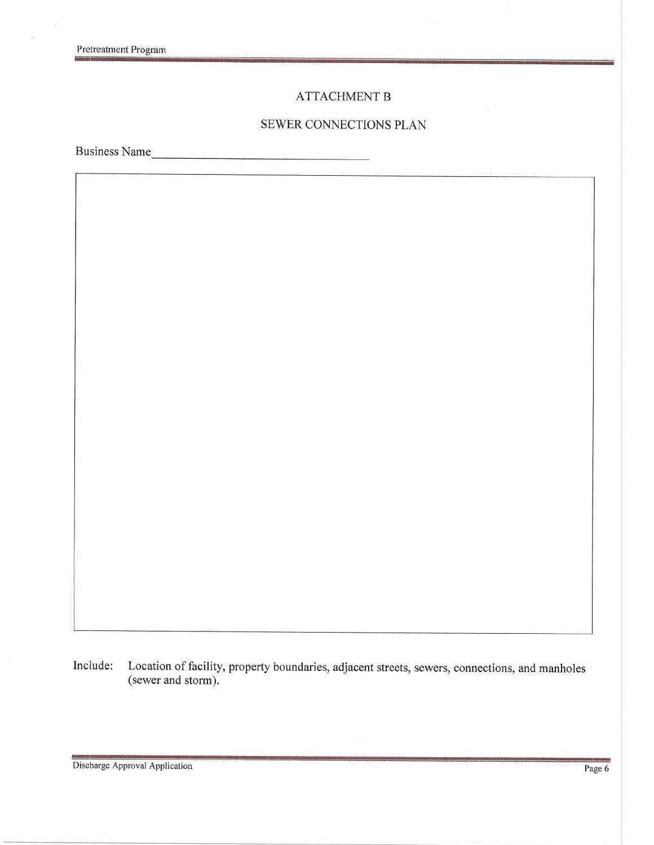$\overline{\mathbf{z}}$ 

### ATTACHMENT B

#### SEWER CONNECTIONS PLAN

Business Name

Include: Location of facility, property boundaries, adjacent streets, sewers, connections, and manholes (sewer and storm).

Discharge Approval Application Page 6